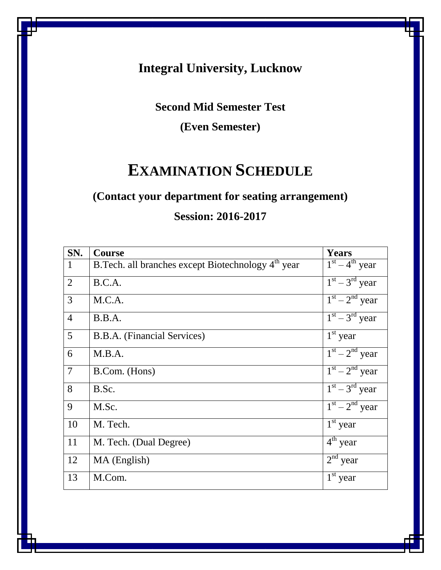## **Integral University, Lucknow**

## **Second Mid Semester Test**

**(Even Semester)**

# **EXAMINATION SCHEDULE**

## **(Contact your department for seating arrangement)**

## **Session: 2016-2017**

| SN.             | <b>Course</b>                                                   | <b>Years</b>                      |
|-----------------|-----------------------------------------------------------------|-----------------------------------|
| $\mathbf{1}$    | B. Tech. all branches except Biotechnology 4 <sup>th</sup> year | $\overline{1^{st} - 4^{th}}$ year |
| $\overline{2}$  | B.C.A.                                                          | $1st - 3rd$ year                  |
| 3               | M.C.A.                                                          | $1st - 2nd$ year                  |
| $\overline{4}$  | B.B.A.                                                          | $1st - 3rd$ year                  |
| $5\overline{)}$ | B.B.A. (Financial Services)                                     | $1st$ year                        |
| 6               | M.B.A.                                                          | $1st - 2nd$ year                  |
| $\overline{7}$  | B.Com. (Hons)                                                   | $1st - 2nd$ year                  |
| 8               | B.Sc.                                                           | $1st - 3rd$ year                  |
| 9               | M.Sc.                                                           | $1st - 2nd$ year                  |
| 10              | M. Tech.                                                        | $1st$ year                        |
| 11              | M. Tech. (Dual Degree)                                          | $4th$ year                        |
| 12              | MA (English)                                                    | $2nd$ year                        |
| 13              | M.Com.                                                          | $1st$ year                        |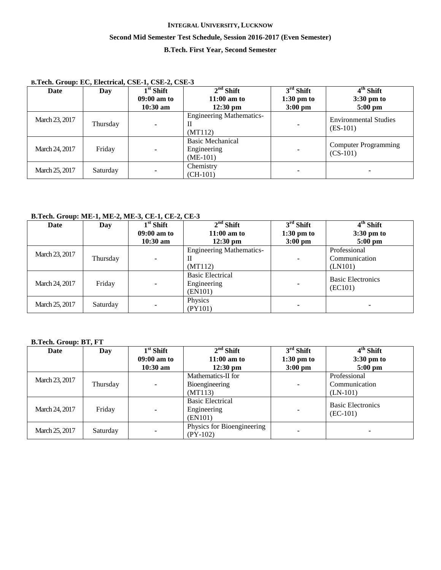## **INTEGRAL UNIVERSITY, LUCKNOW Second Mid Semester Test Schedule, Session 2016-2017 (Even Semester) B.Tech. First Year, Second Semester**

| B.Tech. Group: EC, Electrical, CSE-1, CSE-2, CSE-3 |  |
|----------------------------------------------------|--|
|----------------------------------------------------|--|

| Date           | Day      | $1st$ Shift   | $2nd$ Shift                                          | $3rd$ Shift          | $4th$ Shift                                |
|----------------|----------|---------------|------------------------------------------------------|----------------------|--------------------------------------------|
|                |          | $09:00$ am to | $11:00$ am to                                        | $1:30 \text{ pm}$ to | 3:30 pm to                                 |
|                |          | $10:30$ am    | $12:30 \text{ pm}$                                   | $3:00 \text{ pm}$    | $5:00$ pm                                  |
| March 23, 2017 | Thursday |               | <b>Engineering Mathematics-</b><br>П<br>(MT112)      | ۰                    | <b>Environmental Studies</b><br>$(ES-101)$ |
| March 24, 2017 | Friday   |               | <b>Basic Mechanical</b><br>Engineering<br>$(ME-101)$ | ۰                    | <b>Computer Programming</b><br>$(CS-101)$  |
| March 25, 2017 | Saturday |               | Chemistry<br>$(CH-101)$                              | ۰                    | ۰                                          |

## **B.Tech. Group: ME-1, ME-2, ME-3, CE-1, CE-2, CE-3**

| Date           | Day      | $1st$ Shift   | $2nd$ Shift                     | $3rd$ Shift              | 4 <sup>th</sup> Shift    |
|----------------|----------|---------------|---------------------------------|--------------------------|--------------------------|
|                |          | $09:00$ am to | $11:00$ am to                   | $1:30 \text{ pm}$ to     | $3:30 \text{ pm}$ to     |
|                |          | $10:30$ am    | $12:30 \text{ pm}$              | $3:00 \text{ pm}$        | $5:00$ pm                |
| March 23, 2017 |          |               | <b>Engineering Mathematics-</b> |                          | Professional             |
|                | Thursday |               | П                               | $\blacksquare$           | Communication            |
|                |          |               | (MT112)                         |                          | (LN101)                  |
|                |          |               | <b>Basic Electrical</b>         |                          | <b>Basic Electronics</b> |
| March 24, 2017 | Friday   |               | Engineering                     | $\overline{\phantom{a}}$ | (EC101)                  |
|                |          |               | (EN101)                         |                          |                          |
| March 25, 2017 |          |               | Physics                         |                          |                          |
|                | Saturday |               | (PY101)                         |                          |                          |

## **B.Tech. Group: BT, FT**

| Date           | Day      | $1st$ Shift                 | $2nd$ Shift                                       | $3rd$ Shift                               | 4 <sup>th</sup> Shift                       |
|----------------|----------|-----------------------------|---------------------------------------------------|-------------------------------------------|---------------------------------------------|
|                |          | $09:00$ am to<br>$10:30$ am | $11:00$ am to<br>$12:30$ pm                       | $1:30 \text{ pm}$ to<br>$3:00 \text{ pm}$ | $3:30 \text{ pm}$ to<br>$5:00 \text{ pm}$   |
| March 23, 2017 | Thursday |                             | Mathematics-II for<br>Bioengineering<br>(MT113)   | ۰                                         | Professional<br>Communication<br>$(LN-101)$ |
| March 24, 2017 | Friday   |                             | <b>Basic Electrical</b><br>Engineering<br>(EN101) |                                           | <b>Basic Electronics</b><br>$(EC-101)$      |
| March 25, 2017 | Saturday |                             | Physics for Bioengineering<br>$(PY-102)$          |                                           |                                             |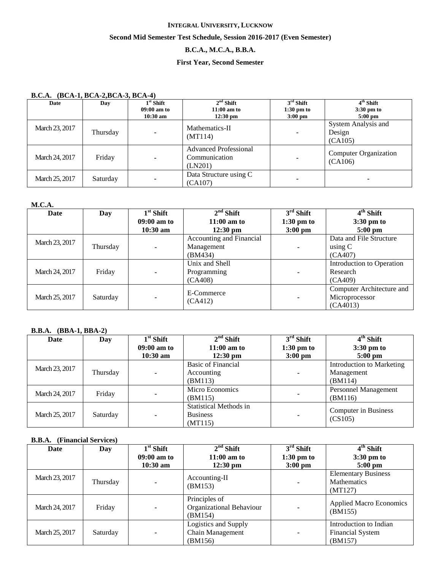### **Second Mid Semester Test Schedule, Session 2016-2017 (Even Semester)**

## **B.C.A., M.C.A., B.B.A.**

### **First Year, Second Semester**

### **B.C.A. (BCA-1, BCA-2,BCA-3, BCA-4)**

| Date           | Day      | $1st$ Shift<br>09:00 am to<br>$10:30$ am | $2nd$ Shift<br>$11:00$ am to<br>$12:30 \text{ pm}$       | $3rd$ Shift<br>$1:30$ pm to<br>$3:00$ pm | $4th$ Shift<br>$3:30$ pm to<br>$5:00$ pm |
|----------------|----------|------------------------------------------|----------------------------------------------------------|------------------------------------------|------------------------------------------|
| March 23, 2017 | Thursday |                                          | Mathematics-II<br>(MT114)                                | ۰                                        | System Analysis and<br>Design<br>(CA105) |
| March 24, 2017 | Friday   |                                          | <b>Advanced Professional</b><br>Communication<br>(LN201) |                                          | <b>Computer Organization</b><br>(CA106)  |
| March 25, 2017 | Saturday | -                                        | Data Structure using C<br>(CA107)                        | ۰                                        |                                          |

### **M.C.A.**

| Date           | Day      | $1st$ Shift   | $2nd$ Shift              | $3rd$ Shift    | $4th$ Shift               |
|----------------|----------|---------------|--------------------------|----------------|---------------------------|
|                |          | $09:00$ am to | $11:00$ am to            | $1:30$ pm to   | $3:30 \text{ pm}$ to      |
|                |          | $10:30$ am    | $12:30 \text{ pm}$       | $3:00$ pm      | $5:00 \text{ pm}$         |
| March 23, 2017 |          |               | Accounting and Financial |                | Data and File Structure   |
|                | Thursday |               | Management               | ٠              | using C                   |
|                |          |               | (BM434)                  |                | (CA407)                   |
|                |          |               | Unix and Shell           |                | Introduction to Operation |
| March 24, 2017 | Friday   |               | Programming              | ۰              | Research                  |
|                |          |               | (CA408)                  |                | (CA409)                   |
|                |          |               |                          |                | Computer Architecture and |
| March 25, 2017 | Saturday |               | E-Commerce<br>(CA412)    | $\blacksquare$ | Microprocessor            |
|                |          |               |                          |                | (CA4013)                  |

### **B.B.A. (BBA-1, BBA-2)**

| Date           | Day      | $1st$ Shift   | $2nd$ Shift                   | $3rd$ Shift          | 4 <sup>th</sup> Shift     |
|----------------|----------|---------------|-------------------------------|----------------------|---------------------------|
|                |          | $09:00$ am to | $11:00$ am to                 | $1:30 \text{ pm}$ to | $3:30 \text{ pm}$ to      |
|                |          | $10:30$ am    | $12:30 \text{ pm}$            | $3:00$ pm            | $5:00 \text{ pm}$         |
| March 23, 2017 |          |               | Basic of Financial            |                      | Introduction to Marketing |
|                | Thursday |               | Accounting                    | ۰                    | Management                |
|                |          |               | (BM113)                       |                      | (BM114)                   |
|                | Friday   |               | Micro Economics               |                      | Personnel Management      |
| March 24, 2017 |          |               | (BM115)                       | $\blacksquare$       | (BM116)                   |
|                |          |               | <b>Statistical Methods in</b> |                      | Computer in Business      |
| March 25, 2017 | Saturday |               | <b>Business</b>               | ۰                    | (CS105)                   |
|                |          |               | (MT115)                       |                      |                           |

## **B.B.A. (Financial Services)**

| Date           | Day      | $1st$ Shift   | $2nd$ Shift                                          | $3rd$ Shift          | $4th$ Shift                                                  |
|----------------|----------|---------------|------------------------------------------------------|----------------------|--------------------------------------------------------------|
|                |          | $09:00$ am to | $11:00$ am to                                        | $1:30 \text{ pm}$ to | $3:30 \text{ pm}$ to                                         |
|                |          | $10:30$ am    | $12:30 \text{ pm}$                                   | $3:00 \text{ pm}$    | $5:00$ pm                                                    |
| March 23, 2017 | Thursday |               | Accounting-II<br>(BM153)                             |                      | <b>Elementary Business</b><br>Mathematics<br>(MT127)         |
| March 24, 2017 | Friday   |               | Principles of<br>Organizational Behaviour<br>(BM154) |                      | <b>Applied Macro Economics</b><br>(BM155)                    |
| March 25, 2017 | Saturday | ۰.            | Logistics and Supply<br>Chain Management<br>(BM156)  | ۰                    | Introduction to Indian<br><b>Financial System</b><br>(BM157) |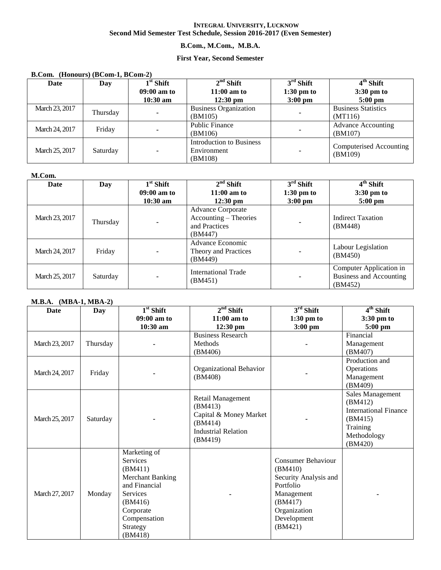### **B.Com., M.Com., M.B.A.**

### **First Year, Second Semester**

### **B.Com. (Honours) (BCom-1, BCom-2)**

| Date           | Day      | $1st$ Shift   | $2nd$ Shift                  | $3rd$ Shift       | $4th$ Shift                |
|----------------|----------|---------------|------------------------------|-------------------|----------------------------|
|                |          | $09:00$ am to | $11:00$ am to                | $1:30$ pm to      | 3:30 pm to                 |
|                |          | $10:30$ am    | $12:30 \text{ pm}$           | $3:00 \text{ pm}$ | $5:00 \text{ pm}$          |
| March 23, 2017 | Thursday |               | <b>Business Organization</b> |                   | <b>Business Statistics</b> |
|                |          |               | (BM105)                      |                   | (MT116)                    |
| March 24, 2017 | Friday   |               | <b>Public Finance</b>        |                   | <b>Advance Accounting</b>  |
|                |          |               | (BM106)                      |                   | (BM107)                    |
|                |          |               | Introduction to Business     |                   | Computerised Accounting    |
| March 25, 2017 | Saturday |               | Environment                  |                   | (BM109)                    |
|                |          |               | (BM108)                      |                   |                            |

### **M.Com.**

| Date           | Day      | $1st$ Shift   | $2nd$ Shift                                                                   | $3rd$ Shift          | 4 <sup>th</sup> Shift                                         |
|----------------|----------|---------------|-------------------------------------------------------------------------------|----------------------|---------------------------------------------------------------|
|                |          | $09:00$ am to | $11:00$ am to                                                                 | $1:30 \text{ pm}$ to | 3:30 pm to                                                    |
|                |          | $10:30$ am    | $12:30 \text{ pm}$                                                            | $3:00 \text{ pm}$    | $5:00$ pm                                                     |
| March 23, 2017 | Thursday |               | <b>Advance Corporate</b><br>Accounting – Theories<br>and Practices<br>(BM447) |                      | <b>Indirect Taxation</b><br>(BM448)                           |
| March 24, 2017 | Friday   |               | Advance Economic<br>Theory and Practices<br>(BM449)                           |                      | Labour Legislation<br>(BM450)                                 |
| March 25, 2017 | Saturday |               | <b>International Trade</b><br>(BM451)                                         |                      | Computer Application in<br>Business and Accounting<br>(BM452) |

## **M.B.A. (MBA-1, MBA-2)**

| <b>Date</b>    | <b>Day</b> | $1st$ Shift                                                                                                                                                              | $2nd$ Shift                                                                                                | $3rd$ Shift                                                                                                                            | $4th$ Shift                                                                                                  |
|----------------|------------|--------------------------------------------------------------------------------------------------------------------------------------------------------------------------|------------------------------------------------------------------------------------------------------------|----------------------------------------------------------------------------------------------------------------------------------------|--------------------------------------------------------------------------------------------------------------|
|                |            | $09:00$ am to                                                                                                                                                            | $11:00$ am to                                                                                              | $1:30 \text{ pm to}$                                                                                                                   | $3:30 \text{ pm}$ to                                                                                         |
|                |            | 10:30 am                                                                                                                                                                 | 12:30 pm                                                                                                   | $3:00$ pm                                                                                                                              | $5:00$ pm                                                                                                    |
| March 23, 2017 | Thursday   |                                                                                                                                                                          | <b>Business Research</b><br>Methods<br>(BM406)                                                             |                                                                                                                                        | Financial<br>Management<br>(BM407)                                                                           |
| March 24, 2017 | Friday     |                                                                                                                                                                          | Organizational Behavior<br>(BM408)                                                                         |                                                                                                                                        | Production and<br>Operations<br>Management<br>(BM409)                                                        |
| March 25, 2017 | Saturday   |                                                                                                                                                                          | Retail Management<br>(BM413)<br>Capital & Money Market<br>(BM414)<br><b>Industrial Relation</b><br>(BM419) |                                                                                                                                        | Sales Management<br>(BM412)<br><b>International Finance</b><br>(BM415)<br>Training<br>Methodology<br>(BM420) |
| March 27, 2017 | Monday     | Marketing of<br><b>Services</b><br>(BM411)<br><b>Merchant Banking</b><br>and Financial<br><b>Services</b><br>(BM416)<br>Corporate<br>Compensation<br>Strategy<br>(BM418) |                                                                                                            | Consumer Behaviour<br>(BM410)<br>Security Analysis and<br>Portfolio<br>Management<br>(BM417)<br>Organization<br>Development<br>(BM421) |                                                                                                              |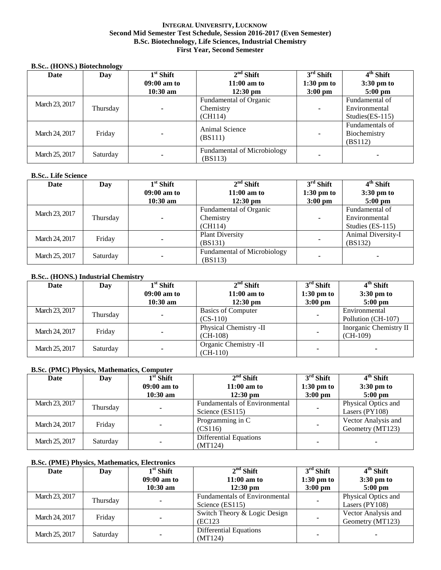### **INTEGRAL UNIVERSITY, LUCKNOW Second Mid Semester Test Schedule, Session 2016-2017 (Even Semester) B.Sc. Biotechnology, Life Sciences, Industrial Chemistry First Year, Second Semester**

#### **B.Sc.. (HONS.) Biotechnology**

| Date           | Day      | $1st$ Shift   | $2nd$ Shift                                   | $3rd$ Shift          | $4th$ Shift                                |
|----------------|----------|---------------|-----------------------------------------------|----------------------|--------------------------------------------|
|                |          | $09:00$ am to | $11:00$ am to                                 | $1:30 \text{ pm to}$ | 3:30 pm to                                 |
|                |          | $10:30$ am    | $12:30 \text{ pm}$                            | $3:00 \text{ pm}$    | $5:00$ pm                                  |
|                |          |               | Fundamental of Organic                        |                      | Fundamental of                             |
| March 23, 2017 | Thursday |               | Chemistry                                     | ۰                    | Environmental                              |
|                |          |               | (CH114)                                       |                      | Studies $(ES-115)$                         |
| March 24, 2017 | Friday   |               | Animal Science<br>(BS111)                     | $\blacksquare$       | Fundamentals of<br>Biochemistry<br>(BS112) |
| March 25, 2017 | Saturday |               | <b>Fundamental of Microbiology</b><br>(BS113) | ۰                    |                                            |

### **B.Sc.. Life Science**

| Date           | Day      | $1st$ Shift   | $2nd$ Shift                 | $3rd$ Shift          | $4th$ Shift        |
|----------------|----------|---------------|-----------------------------|----------------------|--------------------|
|                |          | $09:00$ am to | $11:00$ am to               | $1:30 \text{ pm}$ to | 3:30 pm to         |
|                |          | $10:30$ am    | $12:30 \text{ pm}$          | $3:00$ pm            | $5:00 \text{ pm}$  |
| March 23, 2017 |          | Thursday      | Fundamental of Organic      |                      | Fundamental of     |
|                |          |               | Chemistry                   | ۰                    | Environmental      |
|                |          |               | (CH114)                     |                      | Studies (ES-115)   |
|                | Friday   |               | <b>Plant Diversity</b>      |                      | Animal Diversity-I |
| March 24, 2017 |          |               | (BS131)                     | ۰                    | (BS132)            |
| March 25, 2017 |          |               | Fundamental of Microbiology |                      |                    |
|                | Saturday |               | (BS113)                     |                      |                    |

### **B.Sc.. (HONS.) Industrial Chemistry**

| Date           | Day      | $1st$ Shift<br>$09:00$ am to<br>$10:30$ am | $2nd$ Shift<br>$11:00$ am to<br>$12:30 \text{ pm}$ | $3rd$ Shift<br>$1:30 \text{ pm}$ to<br>$3:00 \text{ pm}$ | $4th$ Shift<br>$3:30 \text{ pm}$ to<br>$5:00 \text{ pm}$ |
|----------------|----------|--------------------------------------------|----------------------------------------------------|----------------------------------------------------------|----------------------------------------------------------|
| March 23, 2017 | Thursday |                                            | <b>Basics of Computer</b><br>$(CS-110)$            |                                                          | Environmental<br>Pollution (CH-107)                      |
| March 24, 2017 | Friday   |                                            | Physical Chemistry -II<br>$(CH-108)$               |                                                          | Inorganic Chemistry II<br>$(CH-109)$                     |
| March 25, 2017 | Saturday | -                                          | Organic Chemistry -II<br>$(CH-110)$                |                                                          |                                                          |

### **B.Sc. (PMC) Physics, Mathematics, Computer**

| Date           | Day      | $1st$ Shift<br>$09:00$ am to<br>$10:30$ am | $2nd$ Shift<br>$11:00$ am to<br>$12:30 \text{ pm}$      | $3rd$ Shift<br>$1:30 \text{ pm}$ to<br>$3:00 \text{ pm}$ | $4th$ Shift<br>$3:30 \text{ pm}$ to<br>$5:00$ pm |
|----------------|----------|--------------------------------------------|---------------------------------------------------------|----------------------------------------------------------|--------------------------------------------------|
| March 23, 2017 | Thursday |                                            | <b>Fundamentals of Environmental</b><br>Science (ES115) |                                                          | Physical Optics and<br>Lasers $(PY108)$          |
| March 24, 2017 | Friday   |                                            | Programming in C<br>(CS116)                             |                                                          | Vector Analysis and<br>Geometry (MT123)          |
| March 25, 2017 | Saturday |                                            | Differential Equations<br>(MT124)                       |                                                          |                                                  |

### **B.Sc. (PME) Physics, Mathematics, Electronics**

| Date           | Day      | $1st$ Shift   | $2nd$ Shift                                             | $3rd$ Shift          | 4 <sup>th</sup> Shift                   |
|----------------|----------|---------------|---------------------------------------------------------|----------------------|-----------------------------------------|
|                |          | $09:00$ am to | $11:00$ am to                                           | $1:30 \text{ pm}$ to | $3:30 \text{ pm}$ to                    |
|                |          | $10:30$ am    | $12:30 \text{ pm}$                                      | $3:00 \text{ pm}$    | $5:00 \text{ pm}$                       |
| March 23, 2017 | Thursday |               | <b>Fundamentals of Environmental</b><br>Science (ES115) |                      | Physical Optics and<br>Lasers $(PY108)$ |
| March 24, 2017 | Friday   |               | Switch Theory & Logic Design<br>(EC123)                 |                      | Vector Analysis and<br>Geometry (MT123) |
| March 25, 2017 | Saturday |               | <b>Differential Equations</b><br>(MT124)                |                      | ۰                                       |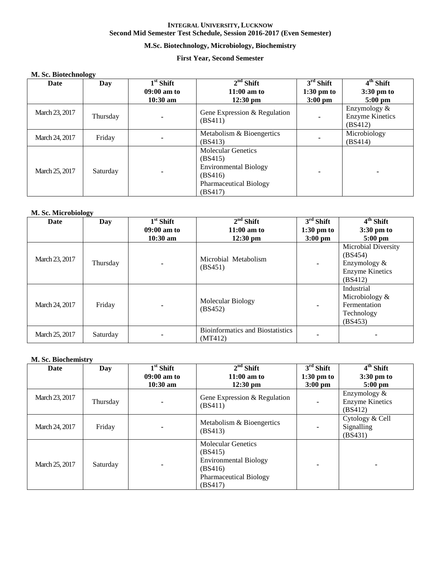## **M.Sc. Biotechnology, Microbiology, Biochemistry**

### **First Year, Second Semester**

### **M. Sc. Biotechnology**

| Date           | ິ<br>Day | $1st$ Shift   | $2nd$ Shift                                                                                                                 | $\overline{3^{rd}}$ Shift | $\overline{4^{th}}$ Shift                         |
|----------------|----------|---------------|-----------------------------------------------------------------------------------------------------------------------------|---------------------------|---------------------------------------------------|
|                |          | $09:00$ am to | $11:00$ am to                                                                                                               | $1:30 \text{ pm}$ to      | $3:30 \text{ pm}$ to                              |
|                |          | $10:30$ am    | $12:30 \text{ pm}$                                                                                                          | $3:00$ pm                 | $5:00$ pm                                         |
| March 23, 2017 | Thursday |               | Gene Expression & Regulation<br>(BS411)                                                                                     | ۰                         | Enzymology &<br><b>Enzyme Kinetics</b><br>(BS412) |
| March 24, 2017 | Friday   |               | Metabolism & Bioengertics<br>(BS413)                                                                                        |                           | Microbiology<br>(BS414)                           |
| March 25, 2017 | Saturday |               | <b>Molecular Genetics</b><br>(BS415)<br><b>Environmental Biology</b><br>(BS416)<br><b>Pharmaceutical Biology</b><br>(BS417) | ۰                         |                                                   |

### **M. Sc. Microbiology**

| Date           | Day      | $1st$ Shift    | $2nd$ Shift                                        | $3rd$ Shift          | $4th$ Shift                                                                         |
|----------------|----------|----------------|----------------------------------------------------|----------------------|-------------------------------------------------------------------------------------|
|                |          | $09:00$ am to  | $11:00$ am to                                      | $1:30 \text{ pm}$ to | 3:30 pm to                                                                          |
|                |          | $10:30$ am     | $12:30$ pm                                         | $3:00$ pm            | $5:00$ pm                                                                           |
| March 23, 2017 | Thursday | $\blacksquare$ | Microbial Metabolism<br>(BS451)                    | $\blacksquare$       | Microbial Diversity<br>(BS454)<br>Enzymology &<br><b>Enzyme Kinetics</b><br>(BS412) |
| March 24, 2017 | Friday   |                | Molecular Biology<br>(BS452)                       | $\blacksquare$       | Industrial<br>Microbiology $\&$<br>Fermentation<br>Technology<br>(BS453)            |
| March 25, 2017 | Saturday |                | <b>Bioinformatics and Biostatistics</b><br>(MT412) |                      |                                                                                     |

### **M. Sc. Biochemistry**

| Date           | Day      | $1st$ Shift   | $2nd$ Shift                                                                                                                 | $3rd$ Shift          | $4th$ Shift                                       |
|----------------|----------|---------------|-----------------------------------------------------------------------------------------------------------------------------|----------------------|---------------------------------------------------|
|                |          | $09:00$ am to | $11:00$ am to                                                                                                               | $1:30 \text{ pm}$ to | 3:30 pm to                                        |
|                |          | $10:30$ am    | $12:30$ pm                                                                                                                  | $3:00$ pm            | $5:00$ pm                                         |
| March 23, 2017 | Thursday |               | Gene Expression & Regulation<br>(BS411)                                                                                     |                      | Enzymology &<br><b>Enzyme Kinetics</b><br>(BS412) |
| March 24, 2017 | Friday   |               | Metabolism & Bioengertics<br>(BS413)                                                                                        |                      | Cytology & Cell<br>Signalling<br>(BS431)          |
| March 25, 2017 | Saturday |               | <b>Molecular Genetics</b><br>(BS415)<br><b>Environmental Biology</b><br>(BS416)<br><b>Pharmaceutical Biology</b><br>(BS417) | -                    | -                                                 |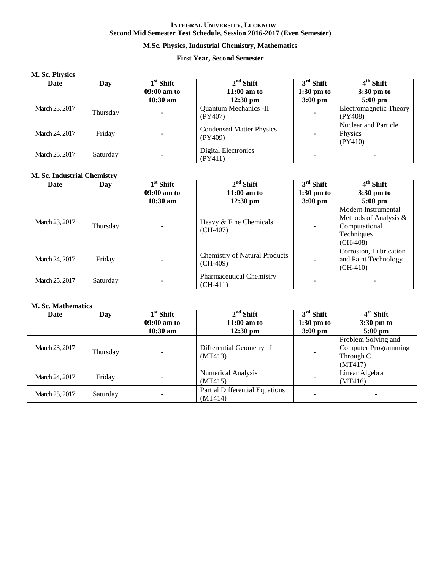## **M.Sc. Physics, Industrial Chemistry, Mathematics**

### **First Year, Second Semester**

### **M. Sc. Physics**

| Date           | Day      | $1st$ Shift   | $2nd$ Shift                                | $3rd$ Shift          | $4th$ Shift                                |
|----------------|----------|---------------|--------------------------------------------|----------------------|--------------------------------------------|
|                |          | $09:00$ am to | $11:00$ am to                              | $1:30 \text{ pm}$ to | $3:30 \text{ pm}$ to                       |
|                |          | $10:30$ am    | $12:30 \text{ pm}$                         | $3:00 \text{ pm}$    | $5:00 \text{ pm}$                          |
| March 23, 2017 | Thursday |               | <b>Quantum Mechanics -II</b><br>(PY407)    |                      | Electromagnetic Theory<br>(PY408)          |
| March 24, 2017 | Friday   |               | <b>Condensed Matter Physics</b><br>(PY409) |                      | Nuclear and Particle<br>Physics<br>(PY410) |
| March 25, 2017 | Saturday |               | <b>Digital Electronics</b><br>(PY411)      |                      |                                            |

### **M. Sc. Industrial Chemistry**

| <b>Date</b>    | Day      | $1st$ Shift   | $2nd$ Shift                                        | $3rd$ Shift          | 4 <sup>th</sup> Shift                                                                     |
|----------------|----------|---------------|----------------------------------------------------|----------------------|-------------------------------------------------------------------------------------------|
|                |          | $09:00$ am to | $11:00$ am to                                      | $1:30 \text{ pm}$ to | $3:30 \text{ pm}$ to                                                                      |
|                |          | $10:30$ am    | $12:30 \text{ pm}$                                 | $3:00$ pm            | $5:00 \text{ pm}$                                                                         |
| March 23, 2017 | Thursday |               | Heavy & Fine Chemicals<br>$(CH-407)$               |                      | Modern Instrumental<br>Methods of Analysis &<br>Computational<br>Techniques<br>$(CH-408)$ |
| March 24, 2017 | Friday   |               | <b>Chemistry of Natural Products</b><br>$(CH-409)$ |                      | Corrosion, Lubrication<br>and Paint Technology<br>$(CH-410)$                              |
| March 25, 2017 | Saturday |               | <b>Pharmaceutical Chemistry</b><br>$(CH-411)$      |                      |                                                                                           |

### **M. Sc. Mathematics**

| Date           | Day      | $1st$ Shift   | $2nd$ Shift                           | $3rd$ Shift          | 4 <sup>th</sup> Shift       |
|----------------|----------|---------------|---------------------------------------|----------------------|-----------------------------|
|                |          | $09:00$ am to | $11:00$ am to                         | $1:30 \text{ pm}$ to | $3:30 \text{ pm}$ to        |
|                |          | $10:30$ am    | $12:30 \text{ pm}$                    | $3:00$ pm            | $5:00$ pm                   |
|                |          |               |                                       |                      | Problem Solving and         |
| March 23, 2017 | Thursday |               | Differential Geometry -I              |                      | <b>Computer Programming</b> |
|                |          |               | (MT413)                               |                      | Through C                   |
|                |          |               |                                       |                      | (MT417)                     |
| March 24, 2017 | Friday   |               | <b>Numerical Analysis</b>             |                      | Linear Algebra              |
|                |          |               | (MT415)                               |                      | (MT416)                     |
| March 25, 2017 | Saturday |               | <b>Partial Differential Equations</b> |                      |                             |
|                |          |               | (MT414)                               |                      |                             |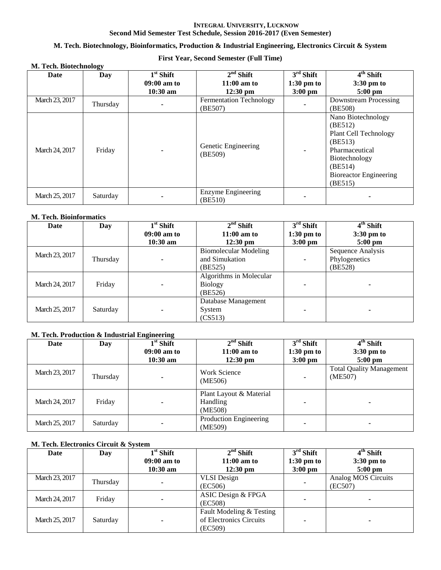### **M. Tech. Biotechnology, Bioinformatics, Production & Industrial Engineering, Electronics Circuit & System**

## **First Year, Second Semester (Full Time)**

| M. Tech. Biotechnology |          |                                          |                                            |                                                  |                                                                                                                                                             |  |  |
|------------------------|----------|------------------------------------------|--------------------------------------------|--------------------------------------------------|-------------------------------------------------------------------------------------------------------------------------------------------------------------|--|--|
| Date                   | Day      | $1st$ Shift<br>09:00 am to<br>$10:30$ am | $2nd$ Shift<br>$11:00$ am to<br>$12:30$ pm | $3rd$ Shift<br>$1:30 \text{ pm to}$<br>$3:00$ pm | $4th$ Shift<br>$3:30 \text{ pm}$ to<br>$5:00$ pm                                                                                                            |  |  |
| March 23, 2017         | Thursday |                                          | <b>Fermentation Technology</b><br>(BE507)  |                                                  | Downstream Processing<br>(BE508)                                                                                                                            |  |  |
| March 24, 2017         | Friday   |                                          | Genetic Engineering<br>(BE509)             |                                                  | Nano Biotechnology<br>(BE512)<br>Plant Cell Technology<br>(BE513)<br>Pharmaceutical<br>Biotechnology<br>(BE514)<br><b>Bioreactor Engineering</b><br>(BE515) |  |  |
| March 25, 2017         | Saturday |                                          | Enzyme Engineering<br>(BE510)              |                                                  |                                                                                                                                                             |  |  |

### **M. Tech. Bioinformatics**

| Date           | Day      | $1st$ Shift   | $2nd$ Shift                  | $3rd$ Shift          | 4 <sup>th</sup> Shift |
|----------------|----------|---------------|------------------------------|----------------------|-----------------------|
|                |          | $09:00$ am to | $11:00$ am to                | $1:30 \text{ pm}$ to | 3:30 pm to            |
|                |          | $10:30$ am    | $12:30 \text{ pm}$           | $3:00$ pm            | $5:00$ pm             |
| March 23, 2017 |          |               | <b>Biomolecular Modeling</b> |                      | Sequence Analysis     |
|                | Thursday |               | and Simukation               |                      | Phylogenetics         |
|                |          |               | (BE525)                      |                      | (BE528)               |
|                |          |               | Algorithms in Molecular      |                      |                       |
| March 24, 2017 | Friday   |               | <b>Biology</b>               |                      |                       |
|                |          |               | (BE526)                      |                      |                       |
|                |          |               | Database Management          |                      |                       |
| March 25, 2017 | Saturday |               | System                       |                      |                       |
|                |          |               | (CS513)                      |                      |                       |

### **M. Tech. Production & Industrial Engineering**

| Date           | Day      | $1st$ Shift   | $2nd$ Shift                                    | $3rd$ Shift          | 4 <sup>th</sup> Shift                      |
|----------------|----------|---------------|------------------------------------------------|----------------------|--------------------------------------------|
|                |          | $09:00$ am to | $11:00$ am to                                  | $1:30 \text{ pm}$ to | $3:30 \text{ pm}$ to                       |
|                |          | $10:30$ am    | $12:30 \text{ pm}$                             | $3:00 \text{ pm}$    | $5:00$ pm                                  |
| March 23, 2017 | Thursday | -             | <b>Work Science</b><br>(ME506)                 |                      | <b>Total Quality Management</b><br>(ME507) |
| March 24, 2017 | Friday   |               | Plant Layout & Material<br>Handling<br>(ME508) |                      |                                            |
| March 25, 2017 | Saturday |               | Production Engineering<br>(ME509)              |                      |                                            |

## **M. Tech. Electronics Circuit & System**

| Date           | Day      | $1st$ Shift   | $2nd$ Shift              | $3rd$ Shift       | 4 <sup>th</sup> Shift |
|----------------|----------|---------------|--------------------------|-------------------|-----------------------|
|                |          | $09:00$ am to | $11:00$ am to            | $1:30$ pm to      | $3:30 \text{ pm}$ to  |
|                |          | $10:30$ am    | $12:30 \text{ pm}$       | $3:00 \text{ pm}$ | $5:00$ pm             |
| March 23, 2017 |          |               | <b>VLSI</b> Design       |                   | Analog MOS Circuits   |
|                | Thursday |               | (EC506)                  |                   | (EC507)               |
| March 24, 2017 | Friday   |               | ASIC Design & FPGA       |                   |                       |
|                |          |               | (EC508)                  |                   |                       |
|                |          |               | Fault Modeling & Testing |                   |                       |
| March 25, 2017 | Saturday |               | of Electronics Circuits  |                   |                       |
|                |          |               | (EC509)                  |                   |                       |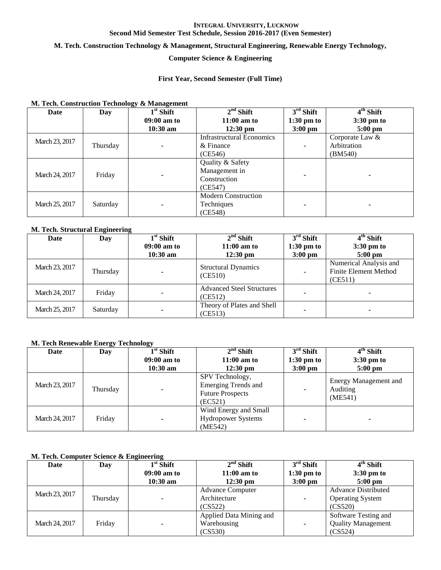### **M. Tech. Construction Technology & Management, Structural Engineering, Renewable Energy Technology,**

## **Computer Science & Engineering**

### **First Year, Second Semester (Full Time)**

### **M. Tech. Construction Technology & Management**

| Date           | Day      | $1st$ Shift | $2nd$ Shift                      | $3rd$ Shift  | $4th$ Shift          |
|----------------|----------|-------------|----------------------------------|--------------|----------------------|
|                |          | 09:00 am to | $11:00$ am to                    | $1:30$ pm to | $3:30 \text{ pm}$ to |
|                |          | $10:30$ am  | $12:30 \text{ pm}$               | $3:00$ pm    | $5:00$ pm            |
| March 23, 2017 |          |             | <b>Infrastructural Economics</b> |              | Corporate Law $\&$   |
|                | Thursday |             | & Finance                        |              | Arbitration          |
|                |          |             | (CE546)                          |              | (BM540)              |
|                |          |             | Quality & Safety                 |              |                      |
| March 24, 2017 | Friday   |             | Management in                    |              |                      |
|                |          |             | Construction                     |              |                      |
|                |          |             | (CE547)                          |              |                      |
|                |          |             | <b>Modern Construction</b>       |              |                      |
| March 25, 2017 | Saturday |             | Techniques                       |              |                      |
|                |          |             | (CE548)                          |              |                      |

### **M. Tech. Structural Engineering**

| Date           | Day      | $1st$ Shift<br>$09:00$ am to | $2nd$ Shift<br>$11:00$ am to                | $3rd$ Shift<br>$1:30 \text{ pm}$ to | $4th$ Shift<br>$3:30 \text{ pm}$ to                               |
|----------------|----------|------------------------------|---------------------------------------------|-------------------------------------|-------------------------------------------------------------------|
|                |          | $10:30$ am                   | $12:30 \text{ pm}$                          | $3:00 \text{ pm}$                   | $5:00 \text{ pm}$                                                 |
| March 23, 2017 | Thursday |                              | <b>Structural Dynamics</b><br>(CE510)       |                                     | Numerical Analysis and<br><b>Finite Element Method</b><br>(CE511) |
| March 24, 2017 | Friday   |                              | <b>Advanced Steel Structures</b><br>(CE512) |                                     |                                                                   |
| March 25, 2017 | Saturday |                              | Theory of Plates and Shell<br>(CE513)       |                                     |                                                                   |

### **M. Tech Renewable Energy Technology**

| Date           | Day      | $1st$ Shift   | $2nd$ Shift                                                                         | $3rd$ Shift       | $4th$ Shift                                         |
|----------------|----------|---------------|-------------------------------------------------------------------------------------|-------------------|-----------------------------------------------------|
|                |          | $09:00$ am to | $11:00$ am to                                                                       | $1:30$ pm to      | $3:30 \text{ pm}$ to                                |
|                |          | $10:30$ am    | $12:30 \text{ pm}$                                                                  | $3:00 \text{ pm}$ | $5:00 \text{ pm}$                                   |
| March 23, 2017 | Thursday |               | SPV Technology,<br><b>Emerging Trends and</b><br><b>Future Prospects</b><br>(EC521) |                   | <b>Energy Management and</b><br>Auditing<br>(ME541) |
| March 24, 2017 | Friday   |               | Wind Energy and Small<br><b>Hydropower Systems</b><br>(ME542)                       |                   |                                                     |

### **M. Tech. Computer Science & Engineering**

| Date           | Day      | $1st$ Shift   | $2nd$ Shift             | $3rd$ Shift  | 4 <sup>th</sup> Shift      |  |                      |
|----------------|----------|---------------|-------------------------|--------------|----------------------------|--|----------------------|
|                |          | $09:00$ am to | $11:00$ am to           | $1:30$ pm to | $3:30 \text{ pm}$ to       |  |                      |
|                |          | $10:30$ am    | $12:30 \text{ pm}$      | $3:00$ pm    | $5:00 \text{ pm}$          |  |                      |
| March 23, 2017 |          |               | <b>Advance Computer</b> |              | <b>Advance Distributed</b> |  |                      |
|                | Thursday |               | Architecture            | ٠            | <b>Operating System</b>    |  |                      |
|                |          |               | (CS522)                 | (CS520)      |                            |  |                      |
| March 24, 2017 |          |               |                         |              | Applied Data Mining and    |  | Software Testing and |
|                | Friday   |               | Warehousing             |              | <b>Quality Management</b>  |  |                      |
|                |          |               | (CS530)                 |              | (CS524)                    |  |                      |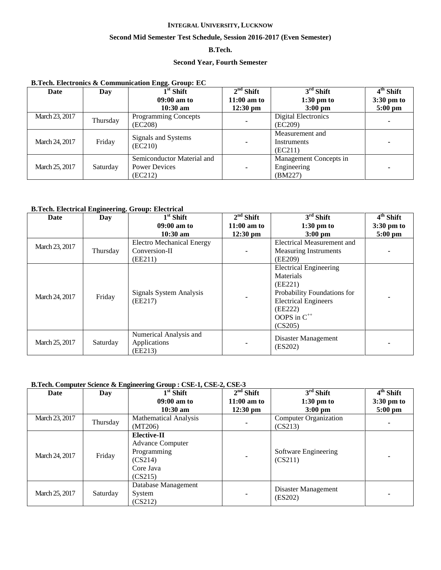### **Second Mid Semester Test Schedule, Session 2016-2017 (Even Semester)**

## **B.Tech.**

### **Second Year, Fourth Semester**

### **B.Tech. Electronics & Communication Engg. Group: EC**

| Date           | Day      | œ<br>$1st$ Shift               | $2nd$ Shift              | $3rd$ Shift            | $\overline{4}^{\text{th}}$ Shift |
|----------------|----------|--------------------------------|--------------------------|------------------------|----------------------------------|
|                |          | $09:00$ am to                  | $11:00$ am to            | $1:30$ pm to           | 3:30 pm to                       |
|                |          | $10:30 \text{ am}$             | $12:30 \text{ pm}$       | $3:00 \text{ pm}$      | $5:00$ pm                        |
| March 23, 2017 | Thursday | <b>Programming Concepts</b>    |                          | Digital Electronics    |                                  |
|                |          | (EC208)                        | $\overline{\phantom{a}}$ | (EC209)                |                                  |
|                |          |                                |                          | Measurement and        |                                  |
| March 24, 2017 | Friday   | Signals and Systems<br>(EC210) | ۰                        | Instruments            |                                  |
|                |          |                                |                          | (EC211)                |                                  |
|                |          | Semiconductor Material and     |                          | Management Concepts in |                                  |
| March 25, 2017 | Saturday | <b>Power Devices</b>           |                          | Engineering            |                                  |
|                |          | (EC212)                        |                          | (BM227)                |                                  |

### **B.Tech. Electrical Engineering. Group: Electrical**

| <b>Date</b>    | Day      | $\overline{1}^{\rm st}$ Shift      | $2nd$ Shift        | $3rd$ Shift                                                                                                                                               | $\overline{4}^{\text{th}}$ Shift |
|----------------|----------|------------------------------------|--------------------|-----------------------------------------------------------------------------------------------------------------------------------------------------------|----------------------------------|
|                |          | $09:00$ am to                      | $11:00$ am to      | $1:30$ pm to                                                                                                                                              | $3:30 \text{ pm}$ to             |
|                |          | $10:30$ am                         | $12:30 \text{ pm}$ | $3:00$ pm                                                                                                                                                 | $5:00$ pm                        |
| March 23, 2017 |          | <b>Electro Mechanical Energy</b>   |                    | <b>Electrical Measurement and</b>                                                                                                                         |                                  |
|                | Thursday | Conversion-II                      |                    | <b>Measuring Instruments</b>                                                                                                                              |                                  |
|                |          | (EE211)                            |                    | (EE209)                                                                                                                                                   |                                  |
| March 24, 2017 | Friday   | Signals System Analysis<br>(EE217) |                    | <b>Electrical Engineering</b><br>Materials<br>(EE221)<br>Probability Foundations for<br><b>Electrical Engineers</b><br>(EE222)<br>OOPS in C <sup>++</sup> |                                  |
|                |          | Numerical Analysis and             |                    | (CS205)                                                                                                                                                   |                                  |
| March 25, 2017 | Saturday | Applications<br>(EE213)            |                    | Disaster Management<br>(ES202)                                                                                                                            |                                  |

### **B.Tech. Computer Science & Engineering Group : CSE-1, CSE-2, CSE-3**

| Date           | Day      | $1st$ Shift                                                                                     | $2nd$ Shift        | $3rd$ Shift                     | 4 <sup>th</sup> Shift |
|----------------|----------|-------------------------------------------------------------------------------------------------|--------------------|---------------------------------|-----------------------|
|                |          | $09:00$ am to                                                                                   | $11:00$ am to      | $1:30$ pm to                    | $3:30 \text{ pm}$ to  |
|                |          | $10:30$ am                                                                                      | $12:30 \text{ pm}$ | $3:00$ pm                       | $5:00$ pm             |
| March 23, 2017 | Thursday | <b>Mathematical Analysis</b>                                                                    |                    | Computer Organization           |                       |
|                |          | (MT206)                                                                                         | $\blacksquare$     | (CS213)                         |                       |
| March 24, 2017 | Friday   | <b>Elective-II</b><br><b>Advance Computer</b><br>Programming<br>(CS214)<br>Core Java<br>(CS215) | $\blacksquare$     | Software Engineering<br>(CS211) |                       |
| March 25, 2017 | Saturday | Database Management<br>System<br>(CS212)                                                        | ۰                  | Disaster Management<br>(ES202)  |                       |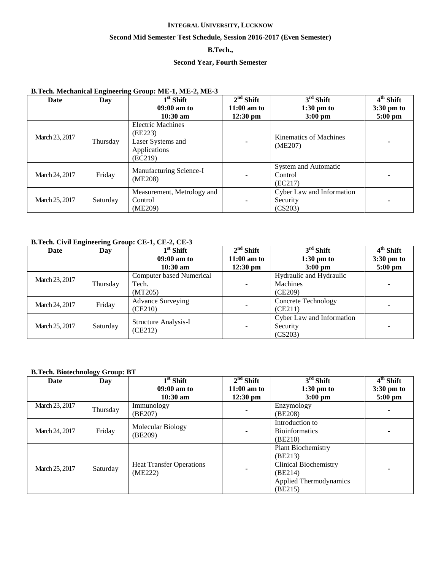### **Second Mid Semester Test Schedule, Session 2016-2017 (Even Semester)**

## **B.Tech.,**

### **Second Year, Fourth Semester**

## **B.Tech. Mechanical Engineering Group: ME-1, ME-2, ME-3**

| Date           | Day      | $1st$ Shift                                                                         | $2nd$ Shift        | $3rd$ Shift                                      | $\overline{4}^{\text{th}}$ Shift |
|----------------|----------|-------------------------------------------------------------------------------------|--------------------|--------------------------------------------------|----------------------------------|
|                |          | $09:00$ am to                                                                       | $11:00$ am to      | $1:30$ pm to                                     | $3:30 \text{ pm}$ to             |
|                |          | $10:30 \text{ am}$                                                                  | $12:30 \text{ pm}$ | $3:00$ pm                                        | $5:00$ pm                        |
| March 23, 2017 | Thursday | <b>Electric Machines</b><br>(EE223)<br>Laser Systems and<br>Applications<br>(EC219) | ۰                  | Kinematics of Machines<br>(ME207)                |                                  |
| March 24, 2017 | Friday   | Manufacturing Science-I<br>(ME208)                                                  | ۰                  | System and Automatic<br>Control<br>(EC217)       |                                  |
| March 25, 2017 | Saturday | Measurement, Metrology and<br>Control<br>(ME209)                                    | ۰                  | Cyber Law and Information<br>Security<br>(CS203) |                                  |

## **B.Tech. Civil Engineering Group: CE-1, CE-2, CE-3**

| Date           | Day      | $1st$ Shift                     | $2nd$ Shift        | $3rd$ Shift                | $4th$ Shift          |
|----------------|----------|---------------------------------|--------------------|----------------------------|----------------------|
|                |          | $09:00$ am to                   | $11:00$ am to      | $1:30 \text{ pm}$ to       | $3:30 \text{ pm}$ to |
|                |          | $10:30$ am                      | $12:30 \text{ pm}$ | $3:00 \text{ pm}$          | $5:00$ pm            |
| March 23, 2017 |          | <b>Computer based Numerical</b> |                    | Hydraulic and Hydraulic    |                      |
|                | Thursday | Tech.                           | ۰                  | Machines                   |                      |
|                |          | (MT205)                         |                    | (CE209)                    |                      |
| March 24, 2017 | Friday   | <b>Advance Surveying</b>        |                    | <b>Concrete Technology</b> |                      |
|                |          | (CE210)                         | ۰                  | (CE211)                    |                      |
|                |          | <b>Structure Analysis-I</b>     |                    | Cyber Law and Information  |                      |
| March 25, 2017 | Saturday | (CE212)                         |                    | Security                   |                      |
|                |          |                                 |                    | (CS203)                    |                      |

### **B.Tech. Biotechnology Group: BT**

| Date           | Day      | $1st$ Shift                     | $2nd$ Shift              | $3rd$ Shift                   | $4th$ Shift          |
|----------------|----------|---------------------------------|--------------------------|-------------------------------|----------------------|
|                |          | $09:00$ am to                   | $11:00$ am to            | $1:30$ pm to                  | $3:30 \text{ pm}$ to |
|                |          | $10:30$ am                      | $12:30$ pm               | $3:00$ pm                     | $5:00$ pm            |
| March 23, 2017 | Thursday | Immunology                      |                          | Enzymology                    |                      |
|                |          | (BE207)                         | ۰                        | (BE208)                       |                      |
|                |          | Molecular Biology               |                          | Introduction to               |                      |
| March 24, 2017 | Friday   | (BE209)                         | ۰                        | <b>Bioinformatics</b>         |                      |
|                |          |                                 |                          | (BE210)                       |                      |
|                |          |                                 |                          | <b>Plant Biochemistry</b>     |                      |
|                |          |                                 |                          | (BE213)                       |                      |
| March 25, 2017 | Saturday | <b>Heat Transfer Operations</b> |                          | <b>Clinical Biochemistry</b>  |                      |
|                |          | (ME222)                         | $\overline{\phantom{a}}$ | (BE214)                       |                      |
|                |          |                                 |                          | <b>Applied Thermodynamics</b> |                      |
|                |          |                                 |                          | (BE215)                       |                      |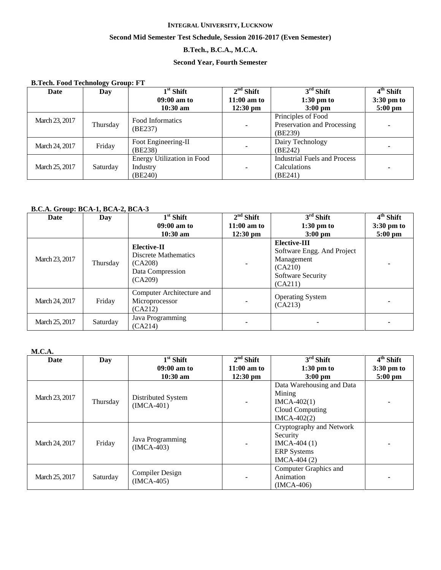## **Second Mid Semester Test Schedule, Session 2016-2017 (Even Semester)**

## **B.Tech., B.C.A., M.C.A.**

## **Second Year, Fourth Semester**

| <b>B.Tech. Food Technology Group: FT</b> |          |                                                          |                    |                                                              |             |  |  |
|------------------------------------------|----------|----------------------------------------------------------|--------------------|--------------------------------------------------------------|-------------|--|--|
| Date                                     | Day      | $1st$ Shift                                              | $2nd$ Shift        | $3rd$ Shift                                                  | $4th$ Shift |  |  |
|                                          |          | $09:00$ am to                                            | $11:00$ am to      | $1:30$ pm to                                                 | 3:30 pm to  |  |  |
|                                          |          | $10:30$ am                                               | $12:30 \text{ pm}$ | $3:00$ pm                                                    | $5:00$ pm   |  |  |
| March 23, 2017                           | Thursday | Food Informatics<br>(BE237)                              | $\blacksquare$     | Principles of Food<br>Preservation and Processing<br>(BE239) |             |  |  |
| March 24, 2017                           | Friday   | Foot Engineering-II<br>(BE238)                           | $\blacksquare$     | Dairy Technology<br>(BE242)                                  |             |  |  |
| March 25, 2017                           | Saturday | <b>Energy Utilization in Food</b><br>Industry<br>(BE240) | $\blacksquare$     | Industrial Fuels and Process<br>Calculations<br>(BE241)      |             |  |  |

### **B.C.A. Group: BCA-1, BCA-2, BCA-3**

| Date           | Day      | $\overline{1}^{\rm st}$ Shift                                                        | $2nd$ Shift        | $3rd$ Shift                                                                                         | 4 <sup>th</sup> Shift |
|----------------|----------|--------------------------------------------------------------------------------------|--------------------|-----------------------------------------------------------------------------------------------------|-----------------------|
|                |          | $09:00$ am to                                                                        | $11:00$ am to      | $1:30$ pm to                                                                                        | $3:30 \text{ pm}$ to  |
|                |          | $10:30$ am                                                                           | $12:30 \text{ pm}$ | $3:00$ pm                                                                                           | $5:00$ pm             |
| March 23, 2017 | Thursday | Elective-II<br><b>Discrete Mathematics</b><br>(CA208)<br>Data Compression<br>(CA209) |                    | Elective-III<br>Software Engg. And Project<br>Management<br>(CA210)<br>Software Security<br>(CA211) |                       |
| March 24, 2017 | Friday   | Computer Architecture and<br>Microprocessor<br>(CA212)                               |                    | <b>Operating System</b><br>(CA213)                                                                  |                       |
| March 25, 2017 | Saturday | Java Programming<br>(CA214)                                                          |                    |                                                                                                     |                       |

## **M.C.A.**

| Date           | Day      | $1st$ Shift                            | $2nd$ Shift        | $3rd$ Shift                                                                                  | $\overline{4}^{\text{th}}$ Shift |
|----------------|----------|----------------------------------------|--------------------|----------------------------------------------------------------------------------------------|----------------------------------|
|                |          | $09:00$ am to                          | $11:00$ am to      | $1:30$ pm to                                                                                 | 3:30 pm to                       |
|                |          | $10:30$ am                             | $12:30 \text{ pm}$ | $3:00 \text{ pm}$                                                                            | $5:00$ pm                        |
| March 23, 2017 | Thursday | Distributed System<br>$(IMCA-401)$     | $\blacksquare$     | Data Warehousing and Data<br>Mining<br>$IMCA-402(1)$<br>Cloud Computing<br>$IMCA-402(2)$     |                                  |
| March 24, 2017 | Friday   | Java Programming<br>$(IMCA-403)$       | ۰                  | Cryptography and Network<br>Security<br>$IMCA-404(1)$<br><b>ERP</b> Systems<br>$IMCA-404(2)$ |                                  |
| March 25, 2017 | Saturday | <b>Compiler Design</b><br>$(IMCA-405)$ | ۰                  | Computer Graphics and<br>Animation<br>$IMCA-406)$                                            |                                  |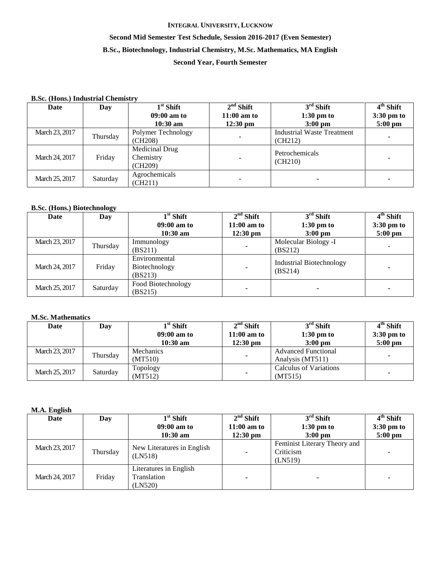## **Second Mid Semester Test Schedule, Session 2016-2017 (Even Semester) B.Sc., Biotechnology, Industrial Chemistry, M.Sc. Mathematics, MA English**

## **Second Year, Fourth Semester**

### **B.Sc. (Hons.) Industrial Chemistry**

| Date           | Day      | $1st$ Shift                            | $2nd$ Shift        | $3rd$ Shift                                  | $4th$ Shift |
|----------------|----------|----------------------------------------|--------------------|----------------------------------------------|-------------|
|                |          | $09:00$ am to                          | $11:00$ am to      | $1:30$ pm to                                 | 3:30 pm to  |
|                |          | $10:30$ am                             | $12:30 \text{ pm}$ | $3:00$ pm                                    | $5:00$ pm   |
| March 23, 2017 | Thursday | Polymer Technology<br>(CH208)          |                    | <b>Industrial Waste Treatment</b><br>(CH212) |             |
| March 24, 2017 | Friday   | Medicinal Drug<br>Chemistry<br>(CH209) |                    | Petrochemicals<br>(CH210)                    |             |
| March 25, 2017 | Saturday | Agrochemicals<br>(CH211)               |                    |                                              |             |

### **B.Sc. (Hons.) Biotechnology**

| Date           | Day      | $1st$ Shift                               | $2nd$ Shift        | $3rd$ Shift                                | 4 <sup>th</sup> Shift |
|----------------|----------|-------------------------------------------|--------------------|--------------------------------------------|-----------------------|
|                |          | $09:00$ am to                             | $11:00$ am to      | $1:30 \text{ pm}$ to                       | 3:30 pm to            |
|                |          | $10:30$ am                                | $12:30 \text{ pm}$ | $3:00 \text{ pm}$                          | $5:00 \text{ pm}$     |
| March 23, 2017 | Thursday | Immunology                                |                    | Molecular Biology -I                       |                       |
|                |          | (BS211)                                   |                    | (BS212)                                    |                       |
| March 24, 2017 | Friday   | Environmental<br>Biotechnology<br>(BS213) | ۰                  | <b>Industrial Biotechnology</b><br>(BS214) |                       |
| March 25, 2017 | Saturday | Food Biotechnology<br>(BS215)             |                    |                                            |                       |

## **M.Sc. Mathematics**

| Date           | Day      | $1st$ Shift   | $2nd$ Shift        | $3rd$ Shift                | 4 <sup>th</sup> Shift |
|----------------|----------|---------------|--------------------|----------------------------|-----------------------|
|                |          | $09:00$ am to | $11:00$ am to      | $1:30$ pm to               | $3:30 \text{ pm}$ to  |
|                |          | $10:30$ am    | $12:30 \text{ pm}$ | $3:00$ pm                  | $5:00$ pm             |
| March 23, 2017 | Thursday | Mechanics     | ۰                  | <b>Advanced Functional</b> |                       |
|                |          | (MT510)       |                    | Analysis (MT511)           |                       |
| March 25, 2017 | Saturday | Topology      |                    | Calculus of Variations     |                       |
|                |          | (MT512)       | ۰                  | (MT515)                    |                       |

### **M.A. English**

| $\bullet$<br>Date | Day      | $1st$ Shift                                      | $2nd$ Shift              | $3rd$ Shift                                          | $4th$ Shift          |
|-------------------|----------|--------------------------------------------------|--------------------------|------------------------------------------------------|----------------------|
|                   |          | $09:00$ am to                                    | $11:00$ am to            | $1:30 \text{ pm}$ to                                 | $3:30 \text{ pm}$ to |
|                   |          | $10:30$ am                                       | $12:30 \text{ pm}$       | $3:00 \text{ pm}$                                    | $5:00 \text{ pm}$    |
| March 23, 2017    | Thursday | New Literatures in English<br>(LN518)            | ۰                        | Feminist Literary Theory and<br>Criticism<br>(LN519) |                      |
| March 24, 2017    | Friday   | Literatures in English<br>Translation<br>(LN520) | $\overline{\phantom{a}}$ |                                                      |                      |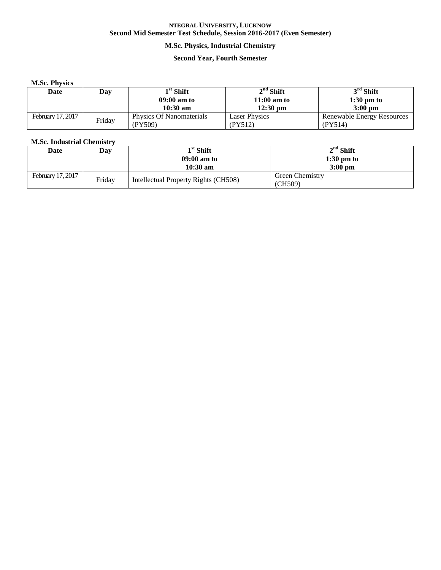## **M.Sc. Physics, Industrial Chemistry**

### **Second Year, Fourth Semester**

### **M.Sc. Physics**

| Date              | Day    | $1^{\rm st}$ Shift       | $2nd$ Shift          | $3rd$ Shift                |
|-------------------|--------|--------------------------|----------------------|----------------------------|
|                   |        | 09:00 am to              | $11:00$ am to        | $1:30 \text{ pm}$ to       |
|                   |        | $10:30$ am               | $12:30$ pm           | $3:00$ pm                  |
| February 17, 2017 |        | Physics Of Nanomaterials | <b>Laser Physics</b> | Renewable Energy Resources |
|                   | Friday | (PY509)                  | (PY512)              | (PY514)                    |

## **M.Sc. Industrial Chemistry**

| Date              | Day    | $1st$ Shift                          | $2nd$ Shift            |
|-------------------|--------|--------------------------------------|------------------------|
|                   |        | 09:00 am to                          | $1:30$ pm to           |
|                   |        | $10:30 \text{ am}$                   | $3:00$ pm              |
| February 17, 2017 | Friday | Intellectual Property Rights (CH508) | <b>Green Chemistry</b> |
|                   |        |                                      | (CH509)                |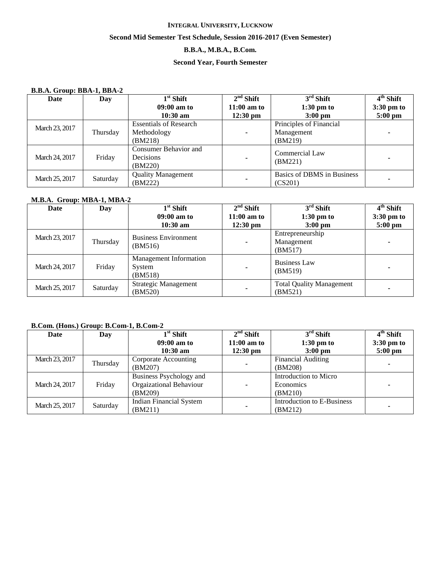### **Second Mid Semester Test Schedule, Session 2016-2017 (Even Semester)**

## **B.B.A., M.B.A., B.Com.**

## **Second Year, Fourth Semester**

### **B.B.A. Group: BBA-1, BBA-2**

| Date           | Day      | $1st$ Shift                                   | $2nd$ Shift              | $3rd$ Shift                           | $4th$ Shift |
|----------------|----------|-----------------------------------------------|--------------------------|---------------------------------------|-------------|
|                |          | $09:00$ am to                                 | $11:00$ am to            | $1:30$ pm to                          | 3:30 pm to  |
|                |          | $10:30$ am                                    | $12:30 \text{ pm}$       | $3:00 \text{ pm}$                     | $5:00$ pm   |
|                |          | <b>Essentials of Research</b>                 |                          | Principles of Financial               |             |
| March 23, 2017 | Thursday | Methodology                                   | ۰                        | Management                            |             |
|                |          | (BM218)                                       |                          | (BM219)                               |             |
| March 24, 2017 | Friday   | Consumer Behavior and<br>Decisions<br>(BM220) |                          | Commercial Law<br>(BM221)             |             |
| March 25, 2017 | Saturday | <b>Quality Management</b><br>(BM222)          | $\overline{\phantom{a}}$ | Basics of DBMS in Business<br>(CS201) |             |

### **M.B.A. Group: MBA-1, MBA-2**

| Date           | Day      | $1st$ Shift                                        | $2nd$ Shift        | $3rd$ Shift                                | 4 <sup>th</sup> Shift |
|----------------|----------|----------------------------------------------------|--------------------|--------------------------------------------|-----------------------|
|                |          | $09:00$ am to                                      | $11:00$ am to      | $1:30$ pm to                               | $3:30 \text{ pm}$ to  |
|                |          | $10:30$ am                                         | $12:30 \text{ pm}$ | $3:00$ pm                                  | $5:00 \text{ pm}$     |
| March 23, 2017 | Thursday | <b>Business Environment</b><br>(BM516)             | ۰                  | Entrepreneurship<br>Management<br>(BM517)  |                       |
| March 24, 2017 | Friday   | <b>Management Information</b><br>System<br>(BM518) | ۰                  | <b>Business Law</b><br>(BM519)             |                       |
| March 25, 2017 | Saturday | Strategic Management<br>(BM520)                    |                    | <b>Total Quality Management</b><br>(BM521) |                       |

### **B.Com. (Hons.) Group: B.Com-1, B.Com-2**

| Date           | Day      | $1st$ Shift                    | $2nd$ Shift                                                                                    | $3rd$ Shift               | $4th$ Shift          |
|----------------|----------|--------------------------------|------------------------------------------------------------------------------------------------|---------------------------|----------------------|
|                |          | $09:00$ am to                  | $11:00$ am to                                                                                  | $1:30$ pm to              | $3:30 \text{ pm}$ to |
|                |          | $10:30$ am                     | $12:30 \text{ pm}$                                                                             | $3:00 \text{ pm}$         | $5:00$ pm            |
| March 23, 2017 |          | Corporate Accounting           |                                                                                                | <b>Financial Auditing</b> |                      |
|                | Thursday | (BM207)                        |                                                                                                | (BM208)                   |                      |
|                |          | Business Psychology and        |                                                                                                | Introduction to Micro     |                      |
| March 24, 2017 | Friday   | Orgaizational Behaviour        | ۰                                                                                              | Economics                 |                      |
|                |          | (BM209)                        | $\blacksquare$<br>(BM210)<br>Introduction to E-Business<br>$\overline{\phantom{a}}$<br>(BM212) |                           |                      |
|                | Saturday | <b>Indian Financial System</b> |                                                                                                |                           |                      |
| March 25, 2017 |          | (BM211)                        |                                                                                                |                           |                      |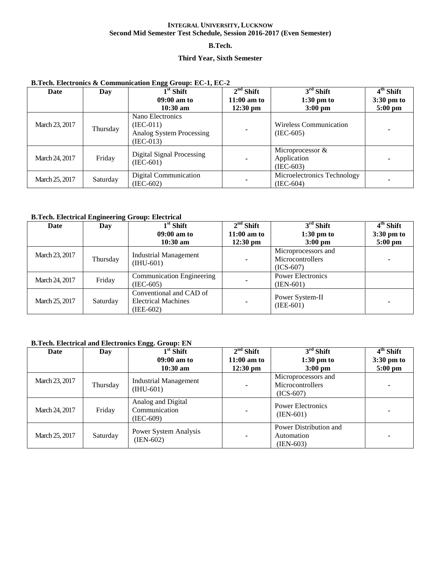### **B.Tech.**

## **Third Year, Sixth Semester**

| Date           | Day      | $1st$ Shift<br>$09:00$ am to<br>$10:30 \text{ am}$                         | $2nd$ Shift<br>$11:00$ am to<br>$12:30 \text{ pm}$ | $3rd$ Shift<br>$1:30$ pm to<br>$3:00 \text{ pm}$  | $4th$ Shift<br>$3:30 \text{ pm}$ to<br>$5:00 \text{ pm}$ |
|----------------|----------|----------------------------------------------------------------------------|----------------------------------------------------|---------------------------------------------------|----------------------------------------------------------|
| March 23, 2017 | Thursday | Nano Electronics<br>$(IEC-011)$<br>Analog System Processing<br>$(IEC-013)$ | -                                                  | <b>Wireless Communication</b><br>$(IEC-605)$      |                                                          |
| March 24, 2017 | Friday   | Digital Signal Processing<br>$(IEC-601)$                                   | ۰                                                  | Microprocessor $\&$<br>Application<br>$(IEC-603)$ |                                                          |
| March 25, 2017 | Saturday | Digital Communication<br>(IEC-602)                                         | $\overline{\phantom{a}}$                           | Microelectronics Technology<br>$(IEC-604)$        |                                                          |

## **B.Tech. Electronics & Communication Engg Group: EC-1, EC-2**

### **B.Tech. Electrical Engineering Group: Electrical**

| Date           | Day      | $1st$ Shift                      | $2nd$ Shift                             | $3rd$ Shift              | $4th$ Shift  |
|----------------|----------|----------------------------------|-----------------------------------------|--------------------------|--------------|
|                |          | $09:00$ am to                    | $11:00$ am to                           | $1:30$ pm to             | $3:30$ pm to |
|                |          | $10:30$ am                       | $12:30 \text{ pm}$                      | $3:00$ pm                | $5:00$ pm    |
| March 23, 2017 |          | <b>Industrial Management</b>     |                                         | Microprocessors and      |              |
|                | Thursday | $(HU-601)$                       | $\blacksquare$                          | Microcontrollers         |              |
|                |          |                                  |                                         | $(ICS-607)$              |              |
| March 24, 2017 | Friday   | <b>Communication Engineering</b> |                                         | <b>Power Electronics</b> |              |
|                |          | $(IEC-605)$                      | $\overline{\phantom{a}}$<br>$(IEN-601)$ |                          |              |
|                |          | Conventional and CAD of          |                                         | Power System-II          |              |
| March 25, 2017 | Saturday | <b>Electrical Machines</b>       | ۰                                       | $(IEE-601)$              |              |
|                |          | (IEE-602)                        |                                         |                          |              |

## **B.Tech. Electrical and Electronics Engg. Group: EN**

| Date           | Day      | $1st$ Shift                                      | $2nd$ Shift              | $3rd$ Shift                                            | $4th$ Shift |
|----------------|----------|--------------------------------------------------|--------------------------|--------------------------------------------------------|-------------|
|                |          | $09:00$ am to                                    | $11:00$ am to            | $1:30$ pm to                                           | 3:30 pm to  |
|                |          | $10:30$ am                                       | $12:30 \text{ pm}$       | $3:00$ pm                                              | $5:00$ pm   |
| March 23, 2017 | Thursday | <b>Industrial Management</b><br>$(HU-601)$       | $\blacksquare$           | Microprocessors and<br>Microcontrollers<br>$(ICS-607)$ |             |
| March 24, 2017 | Friday   | Analog and Digital<br>Communication<br>(IEC-609) | $\overline{\phantom{a}}$ | <b>Power Electronics</b><br>$(IEN-601)$                |             |
| March 25, 2017 | Saturday | Power System Analysis<br>$(IEN-602)$             | ۰                        | Power Distribution and<br>Automation<br>(IEN-603)      |             |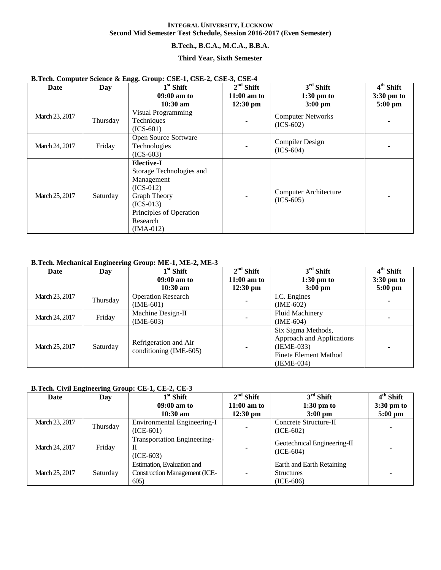### **B.Tech., B.C.A., M.C.A., B.B.A.**

### **Third Year, Sixth Semester**

| Date           | Day      | 88. ----F.<br>$1st$ Shift                                                                                                                                              | $2nd$ Shift                         | $3rd$ Shift                                 | $\overline{4^{th}}$ Shift         |
|----------------|----------|------------------------------------------------------------------------------------------------------------------------------------------------------------------------|-------------------------------------|---------------------------------------------|-----------------------------------|
|                |          | 09:00 am to<br>$10:30$ am                                                                                                                                              | $11:00$ am to<br>$12:30 \text{ pm}$ | $1:30$ pm to<br>$3:00$ pm                   | $3:30 \text{ pm}$ to<br>$5:00$ pm |
| March 23, 2017 | Thursday | Visual Programming<br>Techniques<br>$(ICS-601)$                                                                                                                        |                                     | <b>Computer Networks</b><br>$(ICS-602)$     |                                   |
| March 24, 2017 | Friday   | Open Source Software<br>Technologies<br>$(ICS-603)$                                                                                                                    |                                     | <b>Compiler Design</b><br>$(ICS-604)$       |                                   |
| March 25, 2017 | Saturday | <b>Elective-I</b><br>Storage Technologies and<br>Management<br>$(ICS-012)$<br><b>Graph Theory</b><br>$(ICS-013)$<br>Principles of Operation<br>Research<br>$(IMA-012)$ |                                     | <b>Computer Architecture</b><br>$(ICS-605)$ |                                   |

### **B.Tech. Computer Science & Engg. Group: CSE-1, CSE-2, CSE-3, CSE-4**

### **B.Tech. Mechanical Engineering Group: ME-1, ME-2, ME-3**

| Date           | Day      | $1st$ Shift               | $2nd$ Shift        | $3rd$ Shift               | $4th$ Shift |
|----------------|----------|---------------------------|--------------------|---------------------------|-------------|
|                |          | $09:00$ am to             | $11:00$ am to      | $1:30$ pm to              | 3:30 pm to  |
|                |          | $10:30$ am                | $12:30 \text{ pm}$ | $3:00$ pm                 | $5:00$ pm   |
| March 23, 2017 |          | <b>Operation Research</b> |                    | I.C. Engines              |             |
|                | Thursday | $(IME-601)$               |                    | $(IME-602)$               |             |
| March 24, 2017 | Friday   | Machine Design-II         |                    | <b>Fluid Machinery</b>    |             |
|                |          | $(IME-603)$               |                    | $(IME-604)$               |             |
|                |          |                           |                    | Six Sigma Methods,        |             |
|                |          | Refrigeration and Air     |                    | Approach and Applications |             |
| March 25, 2017 | Saturday | conditioning (IME-605)    | ۰                  | $(IEME-033)$              |             |
|                |          |                           |                    | Finete Element Mathod     |             |
|                |          |                           |                    | $(IEME-034)$              |             |

## **B.Tech. Civil Engineering Group: CE-1, CE-2, CE-3**

| Date           | Day      | $1st$ Shift                                                               | $2nd$ Shift                 | $3rd$ Shift                                                   | 4 <sup>th</sup> Shift   |
|----------------|----------|---------------------------------------------------------------------------|-----------------------------|---------------------------------------------------------------|-------------------------|
|                |          | $09:00$ am to<br>$10:30$ am                                               | $11:00$ am to<br>$12:30$ pm | $1:30 \text{ pm}$ to<br>$3:00$ pm                             | 3:30 pm to<br>$5:00$ pm |
| March 23, 2017 | Thursday | Environmental Engineering-I<br>$(ICE-601)$                                | ۰                           | Concrete Structure-II<br>$(ICE-602)$                          |                         |
| March 24, 2017 | Friday   | <b>Transportation Engineering-</b><br>П<br>$(ICE-603)$                    | ۰                           | Geotechnical Engineering-II<br>$(ICE-604)$                    |                         |
| March 25, 2017 | Saturday | Estimation, Evaluation and<br><b>Construction Management (ICE-</b><br>605 | $\blacksquare$              | Earth and Earth Retaining<br><b>Structures</b><br>$(ICE-606)$ |                         |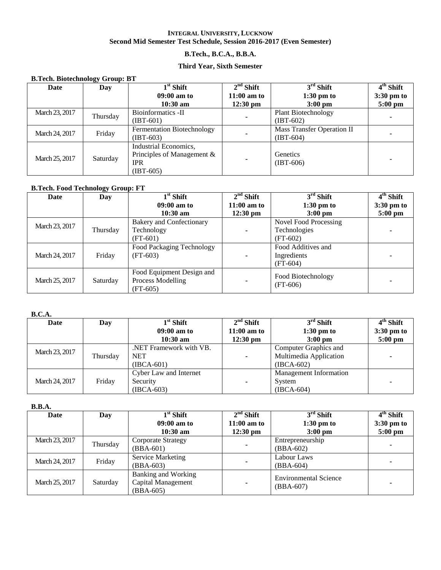## **B.Tech., B.C.A., B.B.A.**

### **Third Year, Sixth Semester**

| <b>B.Tech. Biotechnology Group: BT</b> |          |                               |                    |                            |             |  |  |  |
|----------------------------------------|----------|-------------------------------|--------------------|----------------------------|-------------|--|--|--|
| <b>Date</b>                            | Day      | $1st$ Shift                   | $2nd$ Shift        | $3rd$ Shift                | $4th$ Shift |  |  |  |
|                                        |          | $09:00$ am to                 | $11:00$ am to      | $1:30$ pm to               | 3:30 pm to  |  |  |  |
|                                        |          | $10:30$ am                    | $12:30 \text{ pm}$ | $3:00$ pm                  | $5:00$ pm   |  |  |  |
| March 23, 2017                         | Thursday | Bioinformatics -II            |                    | <b>Plant Biotechnology</b> |             |  |  |  |
|                                        |          | $(IBT-601)$                   |                    | $(IBT-602)$                |             |  |  |  |
| March 24, 2017                         | Friday   | Fermentation Biotechnology    |                    | Mass Transfer Operation II |             |  |  |  |
|                                        |          | $(IBT-603)$                   | $\blacksquare$     | $(IBT-604)$                |             |  |  |  |
|                                        |          | Industrial Economics.         |                    |                            |             |  |  |  |
| March 25, 2017                         | Saturday | Principles of Management $\&$ |                    | Genetics                   |             |  |  |  |
|                                        |          | <b>IPR</b>                    | $\blacksquare$     | $(IBT-606)$                |             |  |  |  |
|                                        |          | $(IBT-605)$                   |                    |                            |             |  |  |  |

### **B.Tech. Food Technology Group: FT**

| Date           | Day      | $1st$ Shift                     | $2nd$ Shift        | $3rd$ Shift           | $4th$ Shift       |
|----------------|----------|---------------------------------|--------------------|-----------------------|-------------------|
|                |          | $09:00$ am to                   | $11:00$ am to      | $1:30 \text{ pm}$ to  | 3:30 pm to        |
|                |          | $10:30 \text{ am}$              | $12:30 \text{ pm}$ | $3:00$ pm             | $5:00 \text{ pm}$ |
| March 23, 2017 |          | <b>Bakery and Confectionary</b> |                    | Novel Food Processing |                   |
|                | Thursday | Technology                      |                    | Technologies          |                   |
|                |          | $(FT-601)$                      |                    | $(FT-602)$            |                   |
|                |          | Food Packaging Technology       |                    | Food Additives and    |                   |
| March 24, 2017 | Friday   | (FT-603)                        |                    | Ingredients           |                   |
|                |          |                                 |                    | $(FT-604)$            |                   |
|                |          | Food Equipment Design and       |                    | Food Biotechnology    |                   |
| March 25, 2017 | Saturday | Process Modelling               |                    | $(FT-606)$            |                   |
|                |          | $(FT-605)$                      |                    |                       |                   |

#### **B.C.A.**

| Date           | Day      | $1st$ Shift             | $2nd$ Shift        | $3rd$ Shift                   | $4th$ Shift          |
|----------------|----------|-------------------------|--------------------|-------------------------------|----------------------|
|                |          | $09:00$ am to           | $11:00$ am to      | $1:30 \text{ pm}$ to          | $3:30 \text{ pm}$ to |
|                |          | $10:30$ am              | $12:30 \text{ pm}$ | $3:00 \text{ pm}$             | $5:00 \text{ pm}$    |
| March 23, 2017 |          | .NET Framework with VB. |                    | Computer Graphics and         |                      |
|                | Thursday | <b>NET</b>              | ۰                  | Multimedia Application        |                      |
|                |          | $(IBCA-601)$            |                    | $(IBCA-602)$                  |                      |
|                |          | Cyber Law and Internet  |                    | <b>Management Information</b> |                      |
| March 24, 2017 | Friday   | Security                | $\blacksquare$     | System                        |                      |
|                |          | $(IBCA-603)$            |                    | $(IBCA-604)$                  |                      |

#### **B.B.A.**

| Date           | Day      | $1st$ Shift                                                     | $2nd$ Shift        | $3rd$ Shift                                 | $4th$ Shift       |
|----------------|----------|-----------------------------------------------------------------|--------------------|---------------------------------------------|-------------------|
|                |          | $09:00$ am to                                                   | $11:00$ am to      | $1:30 \text{ pm}$ to                        | $3:30$ pm to      |
|                |          | $10:30$ am                                                      | $12:30 \text{ pm}$ | $3:00 \text{ pm}$                           | $5:00 \text{ pm}$ |
| March 23, 2017 |          | Corporate Strategy                                              |                    | Entrepreneurship                            |                   |
|                | Thursday | $(BBA-601)$                                                     | ۰                  | $(BBA-602)$                                 |                   |
| March 24, 2017 | Friday   | Service Marketing                                               |                    | Labour Laws                                 |                   |
|                |          | (BBA-603)                                                       | ۰                  | $(BBA-604)$                                 |                   |
| March 25, 2017 | Saturday | <b>Banking and Working</b><br>Capital Management<br>$(BBA-605)$ | $\blacksquare$     | <b>Environmental Science</b><br>$(BBA-607)$ |                   |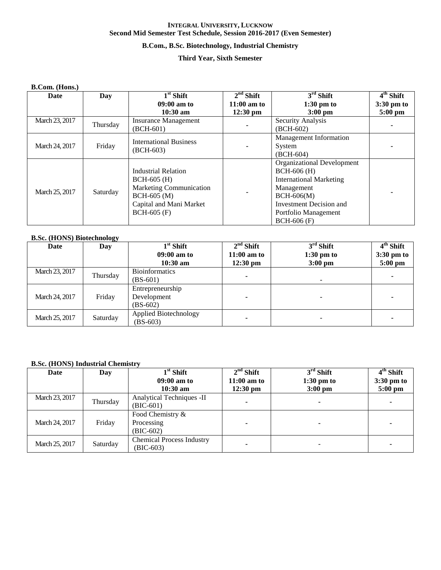### **B.Com., B.Sc. Biotechnology, Industrial Chemistry**

### **Third Year, Sixth Semester**

### **B.Com. (Hons.)**

| Date           | Day      | $1st$ Shift                    | $2nd$ Shift   | $3rd$ Shift                   | $4th$ Shift          |
|----------------|----------|--------------------------------|---------------|-------------------------------|----------------------|
|                |          | $09:00$ am to                  | $11:00$ am to | $1:30$ pm to                  | $3:30 \text{ pm}$ to |
|                |          | $10:30$ am                     | $12:30$ pm    | $3:00$ pm                     | $5:00$ pm            |
| March 23, 2017 | Thursday | <b>Insurance Management</b>    |               | Security Analysis             |                      |
|                |          | (BCH-601)                      |               | $(BCH-602)$                   |                      |
|                |          | <b>International Business</b>  |               | <b>Management Information</b> |                      |
| March 24, 2017 | Friday   | $(BCH-603)$                    |               | System                        |                      |
|                |          |                                |               | $(BCH-604)$                   |                      |
|                |          |                                |               | Organizational Development    |                      |
|                |          | <b>Industrial Relation</b>     |               | $BCH-606$ (H)                 |                      |
|                |          | $BCH-605$ (H)                  |               | International Marketing       |                      |
| March 25, 2017 | Saturday | <b>Marketing Communication</b> |               | Management                    |                      |
|                |          | $BCH-605$ (M)                  |               | $BCH-606(M)$                  |                      |
|                |          | Capital and Mani Market        |               | Investment Decision and       |                      |
|                |          | $BCH-605$ (F)                  |               | Portfolio Management          |                      |
|                |          |                                |               | $BCH-606$ (F)                 |                      |

### **B.Sc. (HONS) Biotechnology**

| Date           | Day      | $1st$ Shift                         | $2nd$ Shift   | $3rd$ Shift          | $4th$ Shift |
|----------------|----------|-------------------------------------|---------------|----------------------|-------------|
|                |          | $09:00$ am to                       | $11:00$ am to | $1:30 \text{ pm}$ to | 3:30 pm to  |
|                |          | $10:30$ am                          | $12:30$ pm    | $3:00 \text{ pm}$    | $5:00$ pm   |
| March 23, 2017 | Thursday | <b>Bioinformatics</b>               |               |                      |             |
|                |          | $(BS-601)$                          | ۰             |                      | ۰           |
|                |          | Entrepreneurship                    |               |                      |             |
| March 24, 2017 | Friday   | Development                         |               |                      | -           |
|                |          | $(BS-602)$                          |               |                      |             |
| March 25, 2017 | Saturday | Applied Biotechnology<br>$(BS-603)$ |               |                      |             |

### **B.Sc. (HONS) Industrial Chemistry**

| Date           | Day      | $1st$ Shift<br>$09:00$ am to<br>$10:30$ am      | $2nd$ Shift<br>$11:00$ am to<br>$12:30 \text{ pm}$ | $3rd$ Shift<br>$1:30$ pm to<br>$3:00 \text{ pm}$ | $4th$ Shift<br>$3:30$ pm to<br>$5:00$ pm |
|----------------|----------|-------------------------------------------------|----------------------------------------------------|--------------------------------------------------|------------------------------------------|
| March 23, 2017 | Thursday | Analytical Techniques -II<br>$(BIC-601)$        |                                                    |                                                  |                                          |
| March 24, 2017 | Friday   | Food Chemistry &<br>Processing<br>$(BIC-602)$   |                                                    |                                                  |                                          |
| March 25, 2017 | Saturday | <b>Chemical Process Industry</b><br>$(BIC-603)$ |                                                    |                                                  |                                          |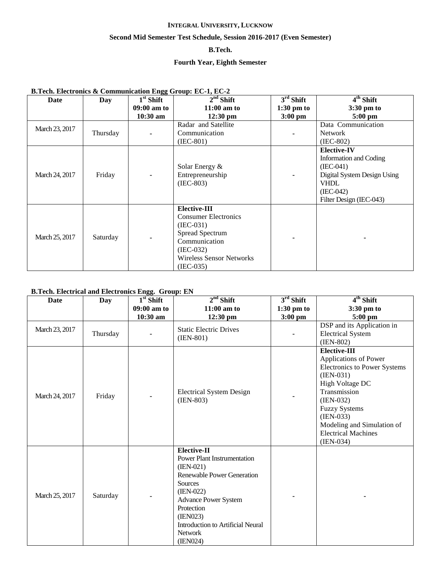## **Second Mid Semester Test Schedule, Session 2016-2017 (Even Semester)**

## **B.Tech.**

## **Fourth Year, Eighth Semester**

## **B.Tech. Electronics & Communication Engg Group: EC-1, EC-2**

| Date           | Day      | $1st$ Shift | $\overline{2}^{\rm nd}$ Shift   | $3rd$ Shift          | $\overline{4^{th}}$ Shift     |
|----------------|----------|-------------|---------------------------------|----------------------|-------------------------------|
|                |          | 09:00 am to | $11:00$ am to                   | $1:30 \text{ pm}$ to | $3:30 \text{ pm}$ to          |
|                |          | $10:30$ am  | $12:30$ pm                      | $3:00$ pm            | $5:00$ pm                     |
| March 23, 2017 |          |             | Radar and Satellite             |                      | Data Communication            |
|                | Thursday |             | Communication                   |                      | <b>Network</b>                |
|                |          |             | $(IEC-801)$                     |                      | $(IEC-802)$                   |
|                |          |             |                                 |                      | <b>Elective-IV</b>            |
|                |          |             |                                 |                      | <b>Information and Coding</b> |
|                |          |             | Solar Energy &                  |                      | $(IEC-041)$                   |
| March 24, 2017 | Friday   |             | Entrepreneurship                |                      | Digital System Design Using   |
|                |          |             | $(IEC-803)$                     |                      | <b>VHDL</b>                   |
|                |          |             |                                 |                      | $(IEC-042)$                   |
|                |          |             |                                 |                      | Filter Design (IEC-043)       |
|                |          |             | Elective-III                    |                      |                               |
|                |          |             | <b>Consumer Electronics</b>     |                      |                               |
|                |          |             | $(IEC-031)$                     |                      |                               |
| March 25, 2017 | Saturday |             | Spread Spectrum                 |                      |                               |
|                |          |             | Communication                   |                      |                               |
|                |          |             | $(IEC-032)$                     |                      |                               |
|                |          |             | <b>Wireless Sensor Networks</b> |                      |                               |
|                |          |             | $(IEC-035)$                     |                      |                               |

## **B.Tech. Electrical and Electronics Engg. Group: EN**

| <b>Date</b>    | <b>Day</b> | $1st$ Shift | $2nd$ Shift                                                                                                                                                                                                                                                               | $3rd$ Shift  | 4 <sup>th</sup> Shift                                                                                                                                                                                                                                                  |
|----------------|------------|-------------|---------------------------------------------------------------------------------------------------------------------------------------------------------------------------------------------------------------------------------------------------------------------------|--------------|------------------------------------------------------------------------------------------------------------------------------------------------------------------------------------------------------------------------------------------------------------------------|
|                |            | 09:00 am to | $11:00$ am to                                                                                                                                                                                                                                                             | $1:30$ pm to | 3:30 pm to                                                                                                                                                                                                                                                             |
|                |            | 10:30 am    | 12:30 pm                                                                                                                                                                                                                                                                  | $3:00$ pm    | 5:00 pm                                                                                                                                                                                                                                                                |
| March 23, 2017 | Thursday   |             | <b>Static Electric Drives</b><br>$(IEN-801)$                                                                                                                                                                                                                              |              | <b>DSP</b> and its Application in<br><b>Electrical System</b><br>$(IEN-802)$                                                                                                                                                                                           |
| March 24, 2017 | Friday     |             | <b>Electrical System Design</b><br>$(IEN-803)$                                                                                                                                                                                                                            |              | <b>Elective-III</b><br>Applications of Power<br><b>Electronics to Power Systems</b><br>$(IEN-031)$<br>High Voltage DC<br>Transmission<br>$(IEN-032)$<br><b>Fuzzy Systems</b><br>$(IEN-033)$<br>Modeling and Simulation of<br><b>Electrical Machines</b><br>$(IEN-034)$ |
| March 25, 2017 | Saturday   |             | <b>Elective-II</b><br><b>Power Plant Instrumentation</b><br>$(IEN-021)$<br><b>Renewable Power Generation</b><br><b>Sources</b><br>$(IEN-022)$<br><b>Advance Power System</b><br>Protection<br>(IEN023)<br>Introduction to Artificial Neural<br><b>Network</b><br>(IEN024) |              |                                                                                                                                                                                                                                                                        |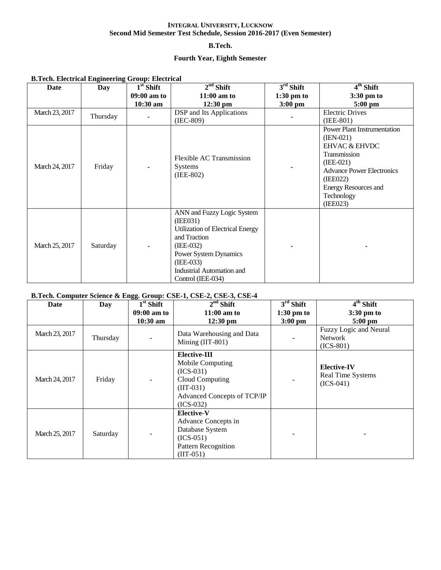### **B.Tech.**

## **Fourth Year, Eighth Semester**

| <b>B.Tech. Electrical Engineering Group: Electrical</b> |          |             |                                                                                                                                                                                                     |                      |                                                                                                                                                                                                                       |  |  |
|---------------------------------------------------------|----------|-------------|-----------------------------------------------------------------------------------------------------------------------------------------------------------------------------------------------------|----------------------|-----------------------------------------------------------------------------------------------------------------------------------------------------------------------------------------------------------------------|--|--|
| Date                                                    | Day      | $1st$ Shift | $2nd$ Shift                                                                                                                                                                                         | $3rd$ Shift          | $\overline{4^{th}}$ Shift                                                                                                                                                                                             |  |  |
|                                                         |          | 09:00 am to | $11:00$ am to                                                                                                                                                                                       | $1:30 \text{ pm}$ to | 3:30 pm to                                                                                                                                                                                                            |  |  |
|                                                         |          | $10:30$ am  | $12:30 \text{ pm}$                                                                                                                                                                                  | $3:00 \text{ pm}$    | $5:00 \text{ pm}$                                                                                                                                                                                                     |  |  |
| March 23, 2017                                          | Thursday |             | DSP and Its Applications<br>$(IEC-809)$                                                                                                                                                             |                      | <b>Electric Drives</b><br>$(IEE-801)$                                                                                                                                                                                 |  |  |
| March 24, 2017                                          | Friday   |             | Flexible AC Transmission<br><b>Systems</b><br>$(IEE-802)$                                                                                                                                           |                      | <b>Power Plant Instrumentation</b><br>$(IEN-021)$<br><b>EHVAC &amp; EHVDC</b><br>Transmission<br>$(IEE-021)$<br><b>Advance Power Electronics</b><br>(IEE022)<br><b>Energy Resources and</b><br>Technology<br>(IEE023) |  |  |
| March 25, 2017                                          | Saturday |             | ANN and Fuzzy Logic System<br>(IEE031)<br>Utilization of Electrical Energy<br>and Traction<br>$(IEE-032)$<br>Power System Dynamics<br>$(IEE-033)$<br>Industrial Automation and<br>Control (IEE-034) |                      |                                                                                                                                                                                                                       |  |  |

### **B.Tech. Computer Science & Engg. Group: CSE-1, CSE-2, CSE-3, CSE-4**

| Date           | Day      | $1st$ Shift | $2nd$ Shift                                                                                                                     | $3rd$ Shift  | $\overline{4^{th}}$ Shift                                     |
|----------------|----------|-------------|---------------------------------------------------------------------------------------------------------------------------------|--------------|---------------------------------------------------------------|
|                |          | 09:00 am to | $11:00$ am to                                                                                                                   | $1:30$ pm to | $3:30 \text{ pm}$ to                                          |
|                |          | $10:30$ am  | $12:30$ pm                                                                                                                      | $3:00$ pm    | $5:00$ pm<br>Fuzzy Logic and Neural                           |
| March 23, 2017 | Thursday |             | Data Warehousing and Data<br>Mining (IIT-801)                                                                                   |              | <b>Network</b><br>$(ICS-801)$                                 |
| March 24, 2017 | Friday   |             | Elective-III<br>Mobile Computing<br>$(ICS-031)$<br>Cloud Computing<br>$(III-031)$<br>Advanced Concepts of TCP/IP<br>$(ICS-032)$ |              | <b>Elective-IV</b><br><b>Real Time Systems</b><br>$(ICS-041)$ |
| March 25, 2017 | Saturday |             | <b>Elective-V</b><br>Advance Concepts in<br>Database System<br>$(ICS-051)$<br><b>Pattern Recognition</b><br>$(III-051)$         |              |                                                               |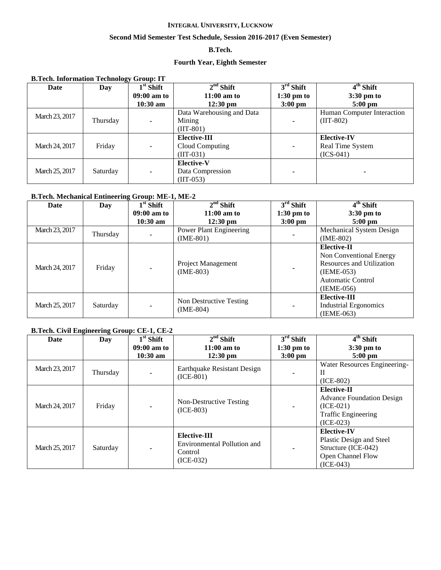### **Second Mid Semester Test Schedule, Session 2016-2017 (Even Semester)**

## **B.Tech.**

## **Fourth Year, Eighth Semester**

**B.Tech. Information Technology Group: IT**

| Date           | ອຸ<br>Day | $1st$ Shift   | $2nd$ Shift               | $3rd$ Shift              | $4th$ Shift                |
|----------------|-----------|---------------|---------------------------|--------------------------|----------------------------|
|                |           | $09:00$ am to | $11:00$ am to             | $1:30 \text{ pm}$ to     | $3:30 \text{ pm}$ to       |
|                |           | $10:30$ am    | $12:30 \text{ pm}$        | $3:00$ pm                | $5:00$ pm                  |
| March 23, 2017 |           |               | Data Warehousing and Data |                          | Human Computer Interaction |
|                | Thursday  |               | Mining                    |                          | $(III-802)$                |
|                |           |               | $(III-801)$               |                          |                            |
|                |           |               | <b>Elective-III</b>       |                          | <b>Elective-IV</b>         |
| March 24, 2017 | Friday    | ۰             | Cloud Computing           | $\blacksquare$           | Real Time System           |
|                |           |               | $(III-031)$               |                          | $(ICS-041)$                |
|                |           |               | <b>Elective-V</b>         |                          |                            |
| March 25, 2017 | Saturday  |               | Data Compression          | $\overline{\phantom{a}}$ |                            |
|                |           |               | $(III-053)$               |                          |                            |

## **B.Tech. Mechanical Entineering Group: ME-1, ME-2**

| Date           | Day      | $1st$ Shift   | $2nd$ Shift                            | $3rd$ Shift          | 4 <sup>th</sup> Shift                                                                                                           |
|----------------|----------|---------------|----------------------------------------|----------------------|---------------------------------------------------------------------------------------------------------------------------------|
|                |          | $09:00$ am to | $11:00$ am to                          | $1:30 \text{ pm}$ to | $3:30 \text{ pm}$ to                                                                                                            |
|                |          | $10:30$ am    | $12:30 \text{ pm}$                     | $3:00$ pm            | $5:00$ pm                                                                                                                       |
| March 23, 2017 | Thursday |               | <b>Power Plant Engineering</b>         |                      | Mechanical System Design                                                                                                        |
|                |          |               | $(IME-801)$                            |                      | $(IME-802)$                                                                                                                     |
| March 24, 2017 | Friday   |               | Project Management<br>$(IME-803)$      |                      | Elective-II<br>Non Conventional Energy<br><b>Resources and Utilization</b><br>$(IEME-053)$<br>Automatic Control<br>$(IEME-056)$ |
| March 25, 2017 | Saturday |               | Non Destructive Testing<br>$(IME-804)$ | $\blacksquare$       | Elective-III<br>Industrial Ergonomics<br>$(IEME-063)$                                                                           |

### **B.Tech. Civil Engineering Group: CE-1, CE-2**

| Date           | Day      | $1st$ Shift   | $2nd$ Shift                                                           | $3rd$ Shift          | $4th$ Shift                                                                                                 |
|----------------|----------|---------------|-----------------------------------------------------------------------|----------------------|-------------------------------------------------------------------------------------------------------------|
|                |          | $09:00$ am to | $11:00$ am to                                                         | $1:30 \text{ pm}$ to | $3:30$ pm to                                                                                                |
|                |          | $10:30$ am    | $12:30 \text{ pm}$                                                    | $3:00 \text{ pm}$    | $5:00$ pm                                                                                                   |
|                |          |               |                                                                       |                      | Water Resources Engineering-                                                                                |
| March 23, 2017 | Thursday |               | Earthquake Resistant Design                                           |                      | H                                                                                                           |
|                |          |               | $(ICE-801)$                                                           |                      | $(ICE-802)$                                                                                                 |
| March 24, 2017 | Friday   |               | Non-Destructive Testing<br>$(ICE-803)$                                |                      | Elective-II<br><b>Advance Foundation Design</b><br>$(ICE-021)$<br><b>Traffic Engineering</b><br>$(ICE-023)$ |
| March 25, 2017 | Saturday |               | Elective-III<br>Environmental Pollution and<br>Control<br>$(ICE-032)$ |                      | <b>Elective-IV</b><br>Plastic Design and Steel<br>Structure (ICE-042)<br>Open Channel Flow<br>$(ICE-043)$   |